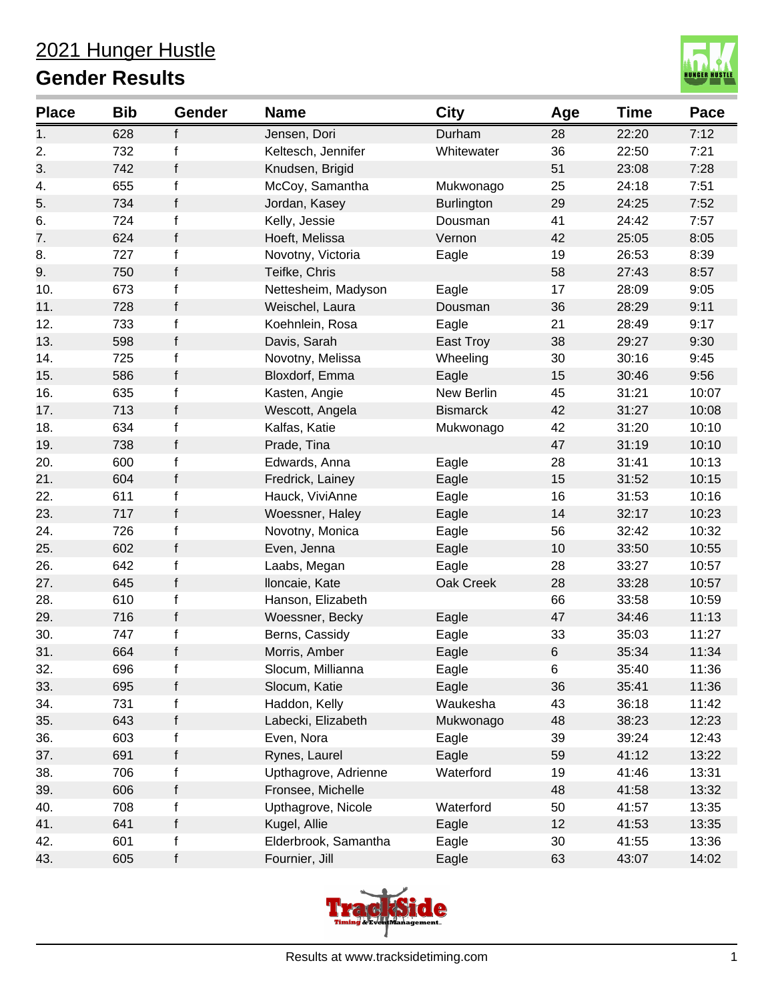

| <b>Place</b> | <b>Bib</b> | Gender      | <b>Name</b>          | <b>City</b>       | Age   | <b>Time</b> | Pace  |
|--------------|------------|-------------|----------------------|-------------------|-------|-------------|-------|
| 1.           | 628        | f           | Jensen, Dori         | Durham            | 28    | 22:20       | 7:12  |
| 2.           | 732        | f           | Keltesch, Jennifer   | Whitewater        | 36    | 22:50       | 7:21  |
| 3.           | 742        | f           | Knudsen, Brigid      |                   | 51    | 23:08       | 7:28  |
| 4.           | 655        | f           | McCoy, Samantha      | Mukwonago         | 25    | 24:18       | 7:51  |
| 5.           | 734        | f           | Jordan, Kasey        | <b>Burlington</b> | 29    | 24:25       | 7:52  |
| 6.           | 724        | $\mathsf f$ | Kelly, Jessie        | Dousman           | 41    | 24:42       | 7:57  |
| 7.           | 624        | f           | Hoeft, Melissa       | Vernon            | 42    | 25:05       | 8:05  |
| 8.           | 727        | f           | Novotny, Victoria    | Eagle             | 19    | 26:53       | 8:39  |
| 9.           | 750        | f           | Teifke, Chris        |                   | 58    | 27:43       | 8:57  |
| 10.          | 673        | f           | Nettesheim, Madyson  | Eagle             | 17    | 28:09       | 9:05  |
| 11.          | 728        | f           | Weischel, Laura      | Dousman           | 36    | 28:29       | 9:11  |
| 12.          | 733        | f           | Koehnlein, Rosa      | Eagle             | 21    | 28:49       | 9:17  |
| 13.          | 598        | f           | Davis, Sarah         | East Troy         | 38    | 29:27       | 9:30  |
| 14.          | 725        | $\mathsf f$ | Novotny, Melissa     | Wheeling          | 30    | 30:16       | 9:45  |
| 15.          | 586        | f           | Bloxdorf, Emma       | Eagle             | 15    | 30:46       | 9:56  |
| 16.          | 635        | f           | Kasten, Angie        | New Berlin        | 45    | 31:21       | 10:07 |
| 17.          | 713        | f           | Wescott, Angela      | <b>Bismarck</b>   | 42    | 31:27       | 10:08 |
| 18.          | 634        | f           | Kalfas, Katie        | Mukwonago         | 42    | 31:20       | 10:10 |
| 19.          | 738        | f           | Prade, Tina          |                   | 47    | 31:19       | 10:10 |
| 20.          | 600        | f           | Edwards, Anna        | Eagle             | 28    | 31:41       | 10:13 |
| 21.          | 604        | f           | Fredrick, Lainey     | Eagle             | 15    | 31:52       | 10:15 |
| 22.          | 611        | f           | Hauck, ViviAnne      | Eagle             | 16    | 31:53       | 10:16 |
| 23.          | 717        | f           | Woessner, Haley      | Eagle             | 14    | 32:17       | 10:23 |
| 24.          | 726        | $\mathsf f$ | Novotny, Monica      | Eagle             | 56    | 32:42       | 10:32 |
| 25.          | 602        | f           | Even, Jenna          | Eagle             | 10    | 33:50       | 10:55 |
| 26.          | 642        | f           | Laabs, Megan         | Eagle             | 28    | 33:27       | 10:57 |
| 27.          | 645        | f           | Iloncaie, Kate       | Oak Creek         | 28    | 33:28       | 10:57 |
| 28.          | 610        | f           | Hanson, Elizabeth    |                   | 66    | 33:58       | 10:59 |
| 29.          | 716        | f           | Woessner, Becky      | Eagle             | 47    | 34:46       | 11:13 |
| 30.          | 747        | f           | Berns, Cassidy       | Eagle             | 33    | 35:03       | 11:27 |
| 31.          | 664        | f           | Morris, Amber        | Eagle             | $\,6$ | 35:34       | 11:34 |
| 32.          | 696        | f           | Slocum, Millianna    | Eagle             | 6     | 35:40       | 11:36 |
| 33.          | 695        | f           | Slocum, Katie        | Eagle             | 36    | 35:41       | 11:36 |
| 34.          | 731        | f           | Haddon, Kelly        | Waukesha          | 43    | 36:18       | 11:42 |
| 35.          | 643        | f           | Labecki, Elizabeth   | Mukwonago         | 48    | 38:23       | 12:23 |
| 36.          | 603        | f           | Even, Nora           | Eagle             | 39    | 39:24       | 12:43 |
| 37.          | 691        | f           | Rynes, Laurel        | Eagle             | 59    | 41:12       | 13:22 |
| 38.          | 706        | f           | Upthagrove, Adrienne | Waterford         | 19    | 41:46       | 13:31 |
| 39.          | 606        | f           | Fronsee, Michelle    |                   | 48    | 41:58       | 13:32 |
| 40.          | 708        | f           | Upthagrove, Nicole   | Waterford         | 50    | 41:57       | 13:35 |
| 41.          | 641        | f           | Kugel, Allie         | Eagle             | 12    | 41:53       | 13:35 |
| 42.          | 601        | $\mathsf f$ | Elderbrook, Samantha | Eagle             | 30    | 41:55       | 13:36 |
| 43.          | 605        | f           | Fournier, Jill       | Eagle             | 63    | 43:07       | 14:02 |

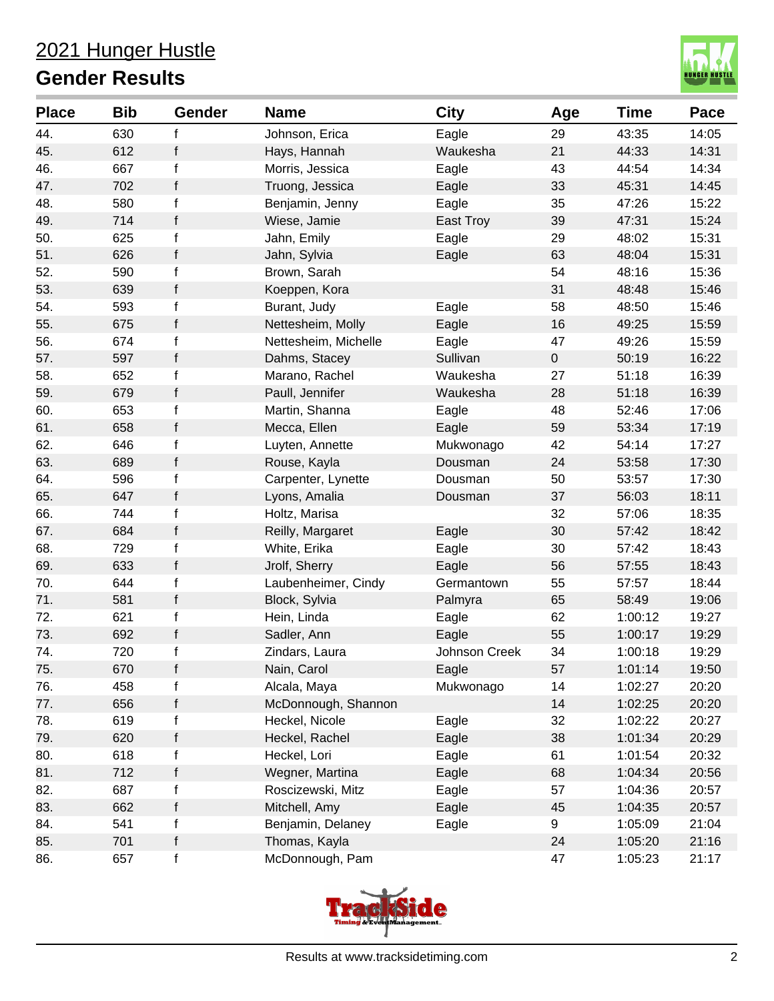

| <b>Place</b> | <b>Bib</b> | Gender       | <b>Name</b>          | <b>City</b>   | Age            | <b>Time</b> | Pace  |
|--------------|------------|--------------|----------------------|---------------|----------------|-------------|-------|
| 44.          | 630        | f            | Johnson, Erica       | Eagle         | 29             | 43:35       | 14:05 |
| 45.          | 612        | $\mathsf{f}$ | Hays, Hannah         | Waukesha      | 21             | 44:33       | 14:31 |
| 46.          | 667        | $\mathsf{f}$ | Morris, Jessica      | Eagle         | 43             | 44:54       | 14:34 |
| 47.          | 702        | f            | Truong, Jessica      | Eagle         | 33             | 45:31       | 14:45 |
| 48.          | 580        | f            | Benjamin, Jenny      | Eagle         | 35             | 47:26       | 15:22 |
| 49.          | 714        | $\mathsf f$  | Wiese, Jamie         | East Troy     | 39             | 47:31       | 15:24 |
| 50.          | 625        | f            | Jahn, Emily          | Eagle         | 29             | 48:02       | 15:31 |
| 51.          | 626        | f            | Jahn, Sylvia         | Eagle         | 63             | 48:04       | 15:31 |
| 52.          | 590        | f            | Brown, Sarah         |               | 54             | 48:16       | 15:36 |
| 53.          | 639        | $\mathsf f$  | Koeppen, Kora        |               | 31             | 48:48       | 15:46 |
| 54.          | 593        | f            | Burant, Judy         | Eagle         | 58             | 48:50       | 15:46 |
| 55.          | 675        | f            | Nettesheim, Molly    | Eagle         | 16             | 49:25       | 15:59 |
| 56.          | 674        | $\mathsf f$  | Nettesheim, Michelle | Eagle         | 47             | 49:26       | 15:59 |
| 57.          | 597        | f            | Dahms, Stacey        | Sullivan      | $\overline{0}$ | 50:19       | 16:22 |
| 58.          | 652        | f            | Marano, Rachel       | Waukesha      | 27             | 51:18       | 16:39 |
| 59.          | 679        | $\mathsf f$  | Paull, Jennifer      | Waukesha      | 28             | 51:18       | 16:39 |
| 60.          | 653        | $\mathsf f$  | Martin, Shanna       | Eagle         | 48             | 52:46       | 17:06 |
| 61.          | 658        | f            | Mecca, Ellen         | Eagle         | 59             | 53:34       | 17:19 |
| 62.          | 646        | f            | Luyten, Annette      | Mukwonago     | 42             | 54:14       | 17:27 |
| 63.          | 689        | $\mathsf f$  | Rouse, Kayla         | Dousman       | 24             | 53:58       | 17:30 |
| 64.          | 596        | $\mathsf f$  | Carpenter, Lynette   | Dousman       | 50             | 53:57       | 17:30 |
| 65.          | 647        | f            | Lyons, Amalia        | Dousman       | 37             | 56:03       | 18:11 |
| 66.          | 744        | $\mathsf f$  | Holtz, Marisa        |               | 32             | 57:06       | 18:35 |
| 67.          | 684        | f            | Reilly, Margaret     | Eagle         | 30             | 57:42       | 18:42 |
| 68.          | 729        | $\mathsf f$  | White, Erika         | Eagle         | 30             | 57:42       | 18:43 |
| 69.          | 633        | f            | Jrolf, Sherry        | Eagle         | 56             | 57:55       | 18:43 |
| 70.          | 644        | f            | Laubenheimer, Cindy  | Germantown    | 55             | 57:57       | 18:44 |
| 71.          | 581        | $\mathsf f$  | Block, Sylvia        | Palmyra       | 65             | 58:49       | 19:06 |
| 72.          | 621        | f            | Hein, Linda          | Eagle         | 62             | 1:00:12     | 19:27 |
| 73.          | 692        | f            | Sadler, Ann          | Eagle         | 55             | 1:00:17     | 19:29 |
| 74.          | 720        | f            | Zindars, Laura       | Johnson Creek | 34             | 1:00:18     | 19:29 |
| 75.          | 670        | f            | Nain, Carol          | Eagle         | 57             | 1:01:14     | 19:50 |
| 76.          | 458        | f            | Alcala, Maya         | Mukwonago     | 14             | 1:02:27     | 20:20 |
| 77.          | 656        | $\mathsf f$  | McDonnough, Shannon  |               | 14             | 1:02:25     | 20:20 |
| 78.          | 619        | $\mathsf f$  | Heckel, Nicole       | Eagle         | 32             | 1:02:22     | 20:27 |
| 79.          | 620        | f            | Heckel, Rachel       | Eagle         | 38             | 1:01:34     | 20:29 |
| 80.          | 618        | f            | Heckel, Lori         | Eagle         | 61             | 1:01:54     | 20:32 |
| 81.          | 712        | f            | Wegner, Martina      | Eagle         | 68             | 1:04:34     | 20:56 |
| 82.          | 687        | f            | Roscizewski, Mitz    | Eagle         | 57             | 1:04:36     | 20:57 |
| 83.          | 662        | f            | Mitchell, Amy        | Eagle         | 45             | 1:04:35     | 20:57 |
| 84.          | 541        | f            | Benjamin, Delaney    | Eagle         | 9              | 1:05:09     | 21:04 |
| 85.          | 701        | $\mathsf f$  | Thomas, Kayla        |               | 24             | 1:05:20     | 21:16 |
| 86.          | 657        | $\mathsf f$  | McDonnough, Pam      |               | 47             | 1:05:23     | 21:17 |

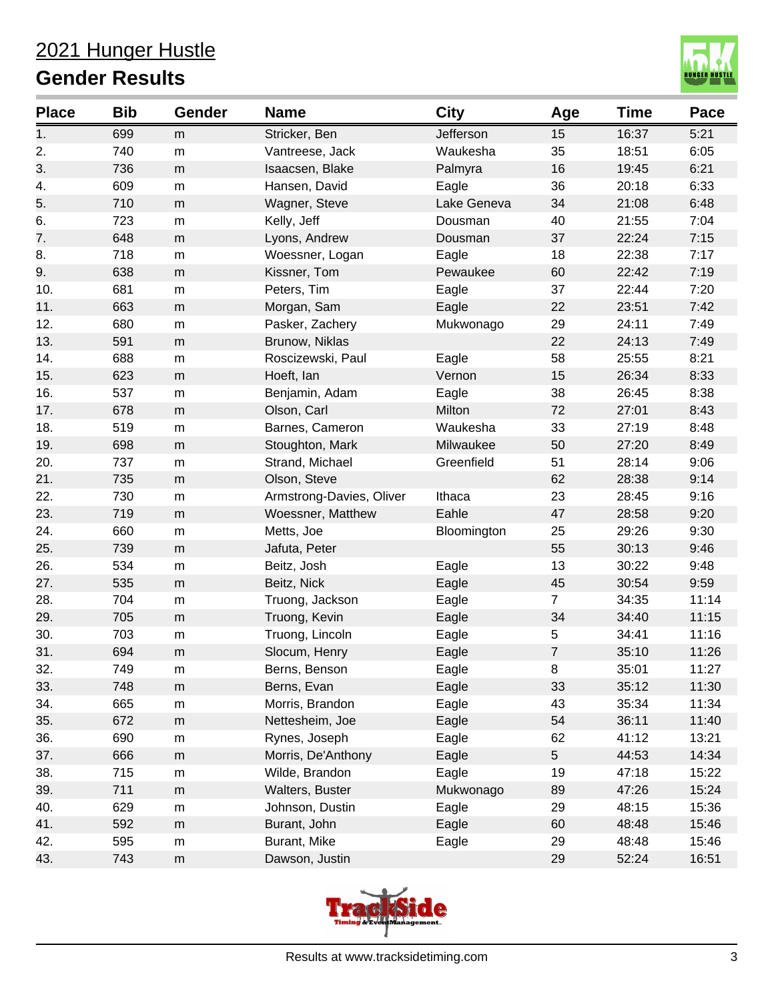

| <b>Place</b> | <b>Bib</b> | Gender    | <b>Name</b>              | <b>City</b> | Age            | <b>Time</b> | Pace  |
|--------------|------------|-----------|--------------------------|-------------|----------------|-------------|-------|
| 1.           | 699        | m         | Stricker, Ben            | Jefferson   | 15             | 16:37       | 5:21  |
| 2.           | 740        | ${\sf m}$ | Vantreese, Jack          | Waukesha    | 35             | 18:51       | 6:05  |
| 3.           | 736        | m         | Isaacsen, Blake          | Palmyra     | 16             | 19:45       | 6:21  |
| 4.           | 609        | m         | Hansen, David            | Eagle       | 36             | 20:18       | 6:33  |
| 5.           | 710        | m         | Wagner, Steve            | Lake Geneva | 34             | 21:08       | 6:48  |
| 6.           | 723        | ${\sf m}$ | Kelly, Jeff              | Dousman     | 40             | 21:55       | 7:04  |
| 7.           | 648        | m         | Lyons, Andrew            | Dousman     | 37             | 22:24       | 7:15  |
| 8.           | 718        | ${\sf m}$ | Woessner, Logan          | Eagle       | 18             | 22:38       | 7:17  |
| 9.           | 638        | m         | Kissner, Tom             | Pewaukee    | 60             | 22:42       | 7:19  |
| 10.          | 681        | ${\sf m}$ | Peters, Tim              | Eagle       | 37             | 22:44       | 7:20  |
| 11.          | 663        | m         | Morgan, Sam              | Eagle       | 22             | 23:51       | 7:42  |
| 12.          | 680        | ${\sf m}$ | Pasker, Zachery          | Mukwonago   | 29             | 24:11       | 7:49  |
| 13.          | 591        | m         | Brunow, Niklas           |             | 22             | 24:13       | 7:49  |
| 14.          | 688        | ${\sf m}$ | Roscizewski, Paul        | Eagle       | 58             | 25:55       | 8:21  |
| 15.          | 623        | m         | Hoeft, lan               | Vernon      | 15             | 26:34       | 8:33  |
| 16.          | 537        | m         | Benjamin, Adam           | Eagle       | 38             | 26:45       | 8:38  |
| 17.          | 678        | ${\sf m}$ | Olson, Carl              | Milton      | 72             | 27:01       | 8:43  |
| 18.          | 519        | ${\sf m}$ | Barnes, Cameron          | Waukesha    | 33             | 27:19       | 8:48  |
| 19.          | 698        | m         | Stoughton, Mark          | Milwaukee   | 50             | 27:20       | 8:49  |
| 20.          | 737        | ${\sf m}$ | Strand, Michael          | Greenfield  | 51             | 28:14       | 9:06  |
| 21.          | 735        | m         | Olson, Steve             |             | 62             | 28:38       | 9:14  |
| 22.          | 730        | ${\sf m}$ | Armstrong-Davies, Oliver | Ithaca      | 23             | 28:45       | 9:16  |
| 23.          | 719        | ${\sf m}$ | Woessner, Matthew        | Eahle       | 47             | 28:58       | 9:20  |
| 24.          | 660        | ${\sf m}$ | Metts, Joe               | Bloomington | 25             | 29:26       | 9:30  |
| 25.          | 739        | m         | Jafuta, Peter            |             | 55             | 30:13       | 9:46  |
| 26.          | 534        | ${\sf m}$ | Beitz, Josh              | Eagle       | 13             | 30:22       | 9:48  |
| 27.          | 535        | ${\sf m}$ | Beitz, Nick              | Eagle       | 45             | 30:54       | 9:59  |
| 28.          | 704        | ${\sf m}$ | Truong, Jackson          | Eagle       | $\overline{7}$ | 34:35       | 11:14 |
| 29.          | 705        | m         | Truong, Kevin            | Eagle       | 34             | 34:40       | 11:15 |
| 30.          | 703        | ${\sf m}$ | Truong, Lincoln          | Eagle       | 5              | 34:41       | 11:16 |
| 31.          | 694        | m         | Slocum, Henry            | Eagle       | $\overline{7}$ | 35:10       | 11:26 |
| 32.          | 749        | m         | Berns, Benson            | Eagle       | 8              | 35:01       | 11:27 |
| 33.          | 748        | ${\sf m}$ | Berns, Evan              | Eagle       | 33             | 35:12       | 11:30 |
| 34.          | 665        | m         | Morris, Brandon          | Eagle       | 43             | 35:34       | 11:34 |
| 35.          | 672        | ${\sf m}$ | Nettesheim, Joe          | Eagle       | 54             | 36:11       | 11:40 |
| 36.          | 690        | m         | Rynes, Joseph            | Eagle       | 62             | 41:12       | 13:21 |
| 37.          | 666        | ${\sf m}$ | Morris, De'Anthony       | Eagle       | 5              | 44:53       | 14:34 |
| 38.          | 715        | m         | Wilde, Brandon           | Eagle       | 19             | 47:18       | 15:22 |
| 39.          | 711        | ${\sf m}$ | Walters, Buster          | Mukwonago   | 89             | 47:26       | 15:24 |
| 40.          | 629        | m         | Johnson, Dustin          | Eagle       | 29             | 48:15       | 15:36 |
| 41.          | 592        | ${\sf m}$ | Burant, John             | Eagle       | 60             | 48:48       | 15:46 |
| 42.          | 595        | ${\sf m}$ | Burant, Mike             | Eagle       | 29             | 48:48       | 15:46 |
| 43.          | 743        | ${\sf m}$ | Dawson, Justin           |             | 29             | 52:24       | 16:51 |